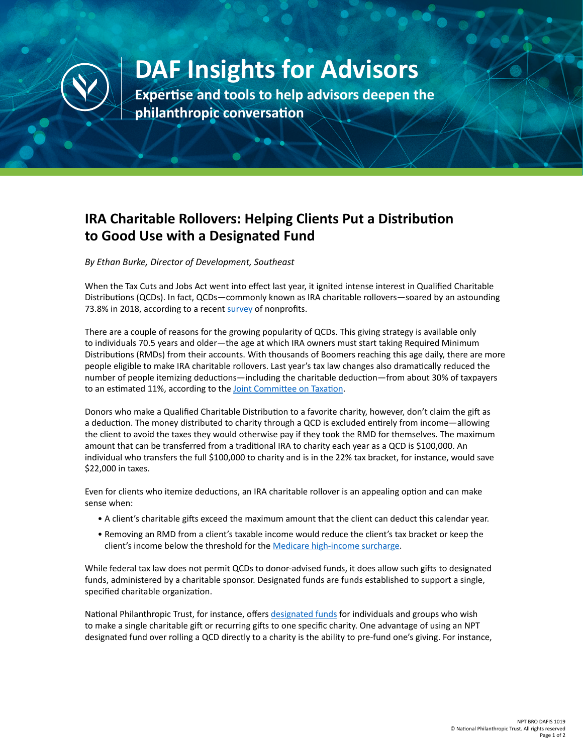

## **DAF Insights for Advisors**

**Expertise and tools to help advisors deepen the philanthropic conversation**

## **IRA Charitable Rollovers: Helping Clients Put a Distribution to Good Use with a Designated Fund**

*By Ethan Burke, Director of Development, Southeast* 

When the Tax Cuts and Jobs Act went into effect last year, it ignited intense interest in Qualified Charitable Distributions (QCDs). In fact, QCDs—commonly known as IRA charitable rollovers—soared by an astounding 73.8% in 2018, according to a recent [survey](https://www.freewill.com/qcd-report-2019) of nonprofits.

There are a couple of reasons for the growing popularity of QCDs. This giving strategy is available only to individuals 70.5 years and older—the age at which IRA owners must start taking Required Minimum Distributions (RMDs) from their accounts. With thousands of Boomers reaching this age daily, there are more people eligible to make IRA charitable rollovers. Last year's tax law changes also dramatically reduced the number of people itemizing deductions—including the charitable deduction—from about 30% of taxpayers to an estimated 11%, according to the [Joint Committee on Taxation.](https://www.jct.gov/publications.html?func=startdown&id=5172)

Donors who make a Qualified Charitable Distribution to a favorite charity, however, don't claim the gift as a deduction. The money distributed to charity through a QCD is excluded entirely from income—allowing the client to avoid the taxes they would otherwise pay if they took the RMD for themselves. The maximum amount that can be transferred from a traditional IRA to charity each year as a QCD is \$100,000. An individual who transfers the full \$100,000 to charity and is in the 22% tax bracket, for instance, would save \$22,000 in taxes.

Even for clients who itemize deductions, an IRA charitable rollover is an appealing option and can make sense when:

- A client's charitable gifts exceed the maximum amount that the client can deduct this calendar year.
- Removing an RMD from a client's taxable income would reduce the client's tax bracket or keep the client's income below the threshold for the [Medicare high-income surcharge.](https://www.ssa.gov/pubs/EN-05-10536.pdf)

While federal tax law does not permit QCDs to donor-advised funds, it does allow such gifts to designated funds, administered by a charitable sponsor. Designated funds are funds established to support a single, specified charitable organization.

National Philanthropic Trust, for instance, offers [designated funds](https://www.nptrust.org/other-giving-vehicles/) for individuals and groups who wish to make a single charitable gift or recurring gifts to one specific charity. One advantage of using an NPT designated fund over rolling a QCD directly to a charity is the ability to pre-fund one's giving. For instance,